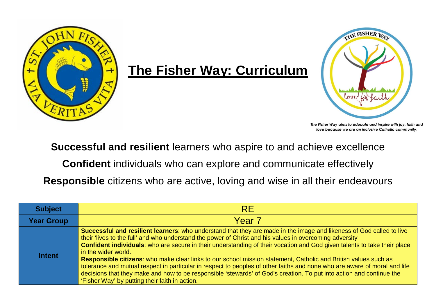

## **The Fisher Way: Curriculum**



The Fisher Way aims to educate and inspire with joy, faith and love because we are an inclusive Catholic community.

**Successful and resilient** learners who aspire to and achieve excellence

**Confident** individuals who can explore and communicate effectively

**Responsible** citizens who are active, loving and wise in all their endeavours

| <b>Subject</b>    | <b>RE</b>                                                                                                                                                                                                                                                                                                                                                                                                                                                                                                                                                                                                                                                                                                                                                                                                    |
|-------------------|--------------------------------------------------------------------------------------------------------------------------------------------------------------------------------------------------------------------------------------------------------------------------------------------------------------------------------------------------------------------------------------------------------------------------------------------------------------------------------------------------------------------------------------------------------------------------------------------------------------------------------------------------------------------------------------------------------------------------------------------------------------------------------------------------------------|
| <b>Year Group</b> | Year <sub>7</sub>                                                                                                                                                                                                                                                                                                                                                                                                                                                                                                                                                                                                                                                                                                                                                                                            |
| <b>Intent</b>     | Successful and resilient learners: who understand that they are made in the image and likeness of God called to live<br>their 'lives to the full' and who understand the power of Christ and his values in overcoming adversity<br>Confident individuals: who are secure in their understanding of their vocation and God given talents to take their place<br>in the wider world.<br>Responsible citizens: who make clear links to our school mission statement, Catholic and British values such as<br>tolerance and mutual respect in particular in respect to peoples of other faiths and none who are aware of moral and life<br>decisions that they make and how to be responsible 'stewards' of God's creation. To put into action and continue the<br>'Fisher Way' by putting their faith in action. |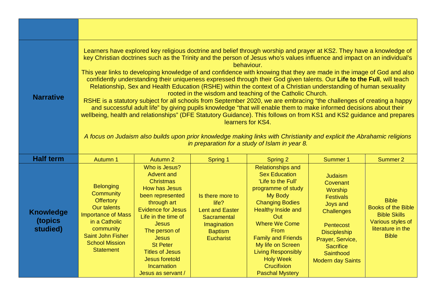| <b>Narrative</b>                        | Learners have explored key religious doctrine and belief through worship and prayer at KS2. They have a knowledge of<br>key Christian doctrines such as the Trinity and the person of Jesus who's values influence and impact on an individual's<br>behaviour.<br>This year links to developing knowledge of and confidence with knowing that they are made in the image of God and also<br>confidently understanding their uniqueness expressed through their God given talents. Our Life to the Full, will teach<br>Relationship, Sex and Health Education (RSHE) within the context of a Christian understanding of human sexuality<br>rooted in the wisdom and teaching of the Catholic Church.<br>RSHE is a statutory subject for all schools from September 2020, we are embracing "the challenges of creating a happy<br>and successful adult life" by giving pupils knowledge "that will enable them to make informed decisions about their<br>wellbeing, health and relationships" (DFE Statutory Guidance). This follows on from KS1 and KS2 guidance and prepares<br>learners for KS4.<br>A focus on Judaism also builds upon prior knowledge making links with Christianity and explicit the Abrahamic religions<br>in preparation for a study of Islam in year 8. |                                                                                                                                                                                                                                                                                                                                   |                                                                                                                  |                                                                                                                                                                                                                                                                                                                                                    |                                                                                                                                                                                                                        |                                                                                                                            |
|-----------------------------------------|--------------------------------------------------------------------------------------------------------------------------------------------------------------------------------------------------------------------------------------------------------------------------------------------------------------------------------------------------------------------------------------------------------------------------------------------------------------------------------------------------------------------------------------------------------------------------------------------------------------------------------------------------------------------------------------------------------------------------------------------------------------------------------------------------------------------------------------------------------------------------------------------------------------------------------------------------------------------------------------------------------------------------------------------------------------------------------------------------------------------------------------------------------------------------------------------------------------------------------------------------------------------------------|-----------------------------------------------------------------------------------------------------------------------------------------------------------------------------------------------------------------------------------------------------------------------------------------------------------------------------------|------------------------------------------------------------------------------------------------------------------|----------------------------------------------------------------------------------------------------------------------------------------------------------------------------------------------------------------------------------------------------------------------------------------------------------------------------------------------------|------------------------------------------------------------------------------------------------------------------------------------------------------------------------------------------------------------------------|----------------------------------------------------------------------------------------------------------------------------|
| <b>Half term</b>                        | Autumn 1                                                                                                                                                                                                                                                                                                                                                                                                                                                                                                                                                                                                                                                                                                                                                                                                                                                                                                                                                                                                                                                                                                                                                                                                                                                                       | Autumn 2                                                                                                                                                                                                                                                                                                                          | <b>Spring 1</b>                                                                                                  | Spring 2                                                                                                                                                                                                                                                                                                                                           | <b>Summer 1</b>                                                                                                                                                                                                        | Summer 2                                                                                                                   |
| <b>Knowledge</b><br>(topics<br>studied) | <b>Belonging</b><br>Community<br><b>Offertory</b><br><b>Our talents</b><br><b>Importance of Mass</b><br>in a Catholic<br>community<br>Saint John Fisher<br><b>School Mission</b><br><b>Statement</b>                                                                                                                                                                                                                                                                                                                                                                                                                                                                                                                                                                                                                                                                                                                                                                                                                                                                                                                                                                                                                                                                           | Who is Jesus?<br><b>Advent and</b><br><b>Christmas</b><br>How has Jesus<br>been represented<br>through art<br><b>Evidence for Jesus</b><br>Life in the time of<br><b>Jesus</b><br>The person of<br><b>Jesus</b><br><b>St Peter</b><br><b>Titles of Jesus</b><br><b>Jesus foretold</b><br><b>Incarnation</b><br>Jesus as servant / | Is there more to<br>life?<br><b>Lent and Easter</b><br>Sacramental<br>Imagination<br><b>Baptism</b><br>Eucharist | <b>Relationships and</b><br><b>Sex Education</b><br>'Life to the Full'<br>programme of study<br>My Body<br><b>Changing Bodies</b><br><b>Healthy Inside and</b><br>Out:<br><b>Where We Come</b><br>From<br><b>Family and Friends</b><br>My life on Screen<br><b>Living Responsibly</b><br><b>Holy Week</b><br>Crucifixion<br><b>Paschal Mystery</b> | <b>Judaism</b><br>Covenant<br>Worship<br><b>Festivals</b><br><b>Joys and</b><br><b>Challenges</b><br>Pentecost<br><b>Discipleship</b><br>Prayer, Service,<br><b>Sacrifice</b><br>Sainthood<br><b>Modern day Saints</b> | <b>Bible</b><br><b>Books of the Bible</b><br><b>Bible Skills</b><br>Various styles of<br>literature in the<br><b>Bible</b> |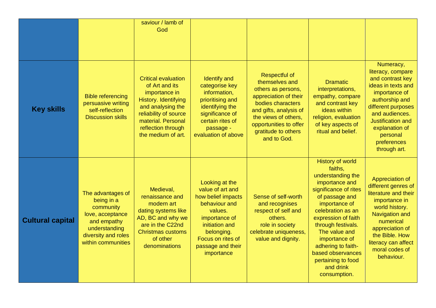|                         |                                                                                                                                               | saviour / lamb of<br>God                                                                                                                                                                              |                                                                                                                                                                                               |                                                                                                                                                                                                                              |                                                                                                                                                                                                                                                                                                                                         |                                                                                                                                                                                                                                              |
|-------------------------|-----------------------------------------------------------------------------------------------------------------------------------------------|-------------------------------------------------------------------------------------------------------------------------------------------------------------------------------------------------------|-----------------------------------------------------------------------------------------------------------------------------------------------------------------------------------------------|------------------------------------------------------------------------------------------------------------------------------------------------------------------------------------------------------------------------------|-----------------------------------------------------------------------------------------------------------------------------------------------------------------------------------------------------------------------------------------------------------------------------------------------------------------------------------------|----------------------------------------------------------------------------------------------------------------------------------------------------------------------------------------------------------------------------------------------|
| <b>Key skills</b>       | <b>Bible referencing</b><br>persuasive writing<br>self-reflection<br><b>Discussion skills</b>                                                 | <b>Critical evaluation</b><br>of Art and its<br>importance in<br>History. Identifying<br>and analysing the<br>reliability of source<br>material. Personal<br>reflection through<br>the medium of art. | <b>Identify and</b><br>categorise key<br>information,<br>prioritising and<br>identifying the<br>significance of<br>certain rites of<br>passage -<br>evaluation of above                       | <b>Respectful of</b><br>themselves and<br>others as persons,<br>appreciation of their<br>bodies characters<br>and gifts, analysis of<br>the views of others,<br>opportunities to offer<br>gratitude to others<br>and to God. | <b>Dramatic</b><br>interpretations,<br>empathy, compare<br>and contrast key<br>ideas within<br>religion, evaluation<br>of key aspects of<br>ritual and belief.                                                                                                                                                                          | Numeracy,<br>literacy, compare<br>and contrast key<br>ideas in texts and<br>importance of<br>authorship and<br>different purposes<br>and audiences.<br><b>Justification and</b><br>explanation of<br>personal<br>preferences<br>through art. |
| <b>Cultural capital</b> | The advantages of<br>being in a<br>community<br>love, acceptance<br>and empathy<br>understanding<br>diversity and roles<br>within communities | Medieval,<br>renaissance and<br>modern art<br>dating systems like<br>AD, BC and why we<br>are in the C22nd<br><b>Christmas customs</b><br>of other<br>denominations                                   | Looking at the<br>value of art and<br>how belief impacts<br>behaviour and<br>values.<br>importance of<br>initiation and<br>belonging.<br>Focus on rites of<br>passage and their<br>importance | Sense of self-worth<br>and recognises<br>respect of self and<br>others.<br>role in society<br>celebrate uniqueness,<br>value and dignity.                                                                                    | <b>History of world</b><br>faiths,<br>understanding the<br>importance and<br>significance of rites<br>of passage and<br>importance of<br>celebration as an<br>expression of faith<br>through festivals.<br>The value and<br>importance of<br>adhering to faith-<br>based observances<br>pertaining to food<br>and drink<br>consumption. | Appreciation of<br>different genres of<br>literature and their<br>importance in<br>world history.<br>Navigation and<br>numerical<br>appreciation of<br>the Bible. How<br>literacy can affect<br>moral codes of<br>behaviour.                 |